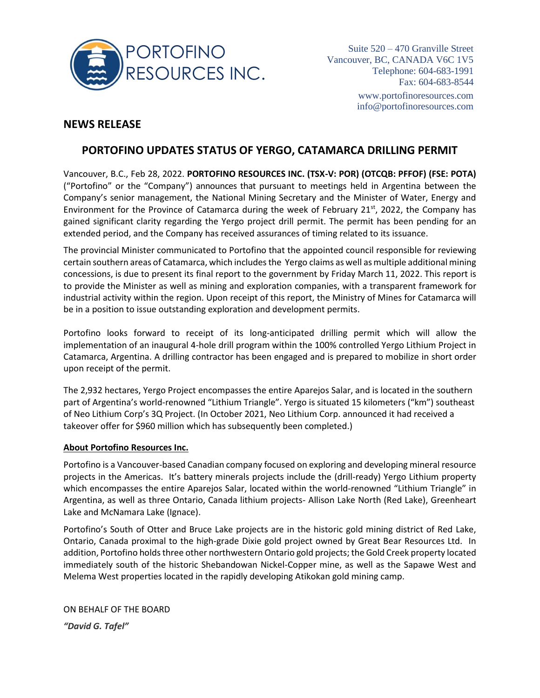

Suite 520 – 470 Granville Street Vancouver, BC, CANADA V6C 1V5 Telephone: 604-683-1991 Fax: 604-683-8544 [www.portofinoresources.com](http://www.portofinoresources.com/) info@portofinoresources.com

## **NEWS RELEASE**

## **PORTOFINO UPDATES STATUS OF YERGO, CATAMARCA DRILLING PERMIT**

Vancouver, B.C., Feb 28, 2022. **PORTOFINO RESOURCES INC. (TSX-V: POR) (OTCQB: PFFOF) (FSE: POTA)** ("Portofino" or the "Company") announces that pursuant to meetings held in Argentina between the Company's senior management, the National Mining Secretary and the Minister of Water, Energy and Environment for the Province of Catamarca during the week of February 21<sup>st</sup>, 2022, the Company has gained significant clarity regarding the Yergo project drill permit. The permit has been pending for an extended period, and the Company has received assurances of timing related to its issuance.

The provincial Minister communicated to Portofino that the appointed council responsible for reviewing certain southern areas of Catamarca, which includes the Yergo claims as well as multiple additional mining concessions, is due to present its final report to the government by Friday March 11, 2022. This report is to provide the Minister as well as mining and exploration companies, with a transparent framework for industrial activity within the region. Upon receipt of this report, the Ministry of Mines for Catamarca will be in a position to issue outstanding exploration and development permits.

Portofino looks forward to receipt of its long-anticipated drilling permit which will allow the implementation of an inaugural 4-hole drill program within the 100% controlled Yergo Lithium Project in Catamarca, Argentina. A drilling contractor has been engaged and is prepared to mobilize in short order upon receipt of the permit.

The 2,932 hectares, Yergo Project encompasses the entire Aparejos Salar, and is located in the southern part of Argentina's world-renowned "Lithium Triangle". Yergo is situated 15 kilometers ("km") southeast of Neo Lithium Corp's 3Q Project. (In October 2021, Neo Lithium Corp. announced it had received a takeover offer for \$960 million which has subsequently been completed.)

## **About Portofino Resources Inc.**

Portofino is a Vancouver-based Canadian company focused on exploring and developing mineral resource projects in the Americas. It's battery minerals projects include the (drill-ready) Yergo Lithium property which encompasses the entire Aparejos Salar, located within the world-renowned "Lithium Triangle" in Argentina, as well as three Ontario, Canada lithium projects- Allison Lake North (Red Lake), Greenheart Lake and McNamara Lake (Ignace).

Portofino's South of Otter and Bruce Lake projects are in the historic gold mining district of Red Lake, Ontario, Canada proximal to the high-grade Dixie gold project owned by Great Bear Resources Ltd. In addition, Portofino holds three other northwestern Ontario gold projects; the Gold Creek property located immediately south of the historic Shebandowan Nickel-Copper mine, as well as the Sapawe West and Melema West properties located in the rapidly developing Atikokan gold mining camp.

ON BEHALF OF THE BOARD *"David G. Tafel"*